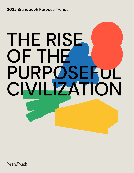2022 Brandbuch Purpose Trends

# THE RISE OF THE PURPOSEFUL CIVILIZATION

brandbuch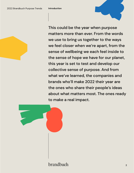

This could be the year when purpose matters more than ever. From the words we use to bring us together to the ways we feel closer when we're apart, from the sense of wellbeing we each feel inside to the sense of hope we have for our planet, this year is set to test and develop our collective sense of purpose. And from what we've learned, the companies and brands who'll make 2022 their year are the ones who share their people's ideas about what matters most. The ones ready to make a real impact.

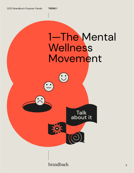**TREND 1**



brandbuch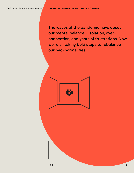The waves of the pandemic have upset our mental balance - isolation, overconnection, and years of frustrations. Now we're all taking bold steps to rebalance our neo-normalities.

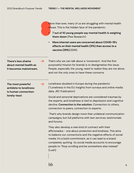More than ever, many of us are struggling with mental health issues. This is the hidden face of the pandemic:

- **• 7 out of 10 young people say mental health is weighing them down** (Pew Research)
- **• More internet users are concerned about COVID-19's effects on their mental health (31%) than access to a vaccine (29%)** (GWI).

**There's less shame about mental health as it becomes mainstream. >** That's why we can talk about a 'movement'. And the first purposeful mission for brands is to destigmatize this issue. People, especially the young, need to realize they are not alone, and not the only ones to have these concerns.

**The most powerful antidote to loneliness is human connection: lonely-less!** 

**>**

Loneliness doubled in Europe during the pandemic ("Loneliness in the EU: Insights from surveys and online media data, JRC Publication)

Social and sensorial deprivations are considered traumas by the experts, and loneliness is tied to depression and cognitive decline. **Connection is the solution.** Connection to others, connection to peers, connection to experts.

 That's why brands design more than unilateral communication campaigns, but full platforms with text services, testimonials and forums.

They also develop a new kind of contract with their afficionados - one about protection and kindness. This aims to balance our connections and the negative effects of social media. It's a bold commitment, as it can lead to a brand completely quitting its social media accounts to encourage people to "Stop scrolling and be somewhere else instead" (Lush)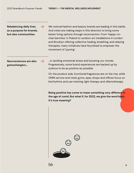**Rebalancing daily lives as a purpose for brands, but also communities.** 

**>**

**>**

We noticed fashion and beauty brands are leading in this battle. And cities are making steps in this direction to bring some better living options through reconnection. From 'happy-tochat benches' in Poland to outdoor art installations in London and Brooklyn offering collective healing, breathing, and relaxing therapies, many initiatives have flourished to empower the movement of 'joyning'.

**Neurosciences are also gamechangers...**

...in tackling emotional stress and boosting our moods. Progressively, some brand experiences are backed up by science to be as positive as possible.

On the product side, functional fragrances are on the rise, while OMNI service and retail, gyms, spas, shops and offices focus on biorhythms and use tracking, light therapy and olfactotherapy.

**Being positive has come to mean something very different in the age of covid. But what if, for 2022, we give the word back it's true meaning?**

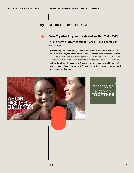#### 420 **PURPOSEFUL BRAND INITIATIVES:**



### **Brave Together Program, by Maybelline New York (2021)**

"A long-term program to support anxiety and depression worldwide".

A global campaign, with videos, celebrity testimonials, etc. and in partnership with Crisis Text Line, the brand provides access to free, confidential counseling 24/7 via text. Furthermore, over the past two years, Maybelline has worked with universities and charities to conduct extensive research into mental health issues. The brand is also in the process of training all employees in mental health first aid, and is committed to investing \$10M over the next five years to mental health organizations worldwide.



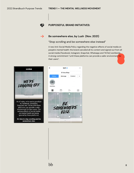#### **PURPOSEFUL BRAND INITIATIVES:**



420

#### **Be somewhere else, by Lush (Nov. 2021)**

#### "Stop scrolling and be somewhere else instead"

A new Anti-Social Media Policy regarding the negative effects of social media on people's mental health: the brand canceled all its content and signed out from all social media (Facebook, Instagram, Snapchat, Whatsapp and TikTok) worldwide. A strong commitment "until these platforms can provide a safer environment for their users".



As of today, we're saying goodbye to Facebook, Instagram, Snapchat and TikTok until these platforms can provide a safer environment for their users. The serious effects of social media on mental health are being ignored by these platforms.

It's time to stop scrolling and be somewhere else.

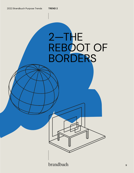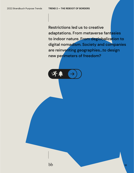Restrictions led us to creative adaptations. From metaverse fantasies to indoor nature. From deglobalization to digital nomadism. Society and companies are reinventing geographies...to design new perimeters of freedom?



bb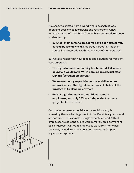In a snap, we shifted from a world where everything was open and possible, to lockdowns and restrictions. A new reinterpretation of 'prohibition': never have our freedoms been so shacked up…

**• 53% feel their personal freedoms have been excessively curbed by lockdowns** (Democracy Perception Index by Latana in collaboration with the Alliance of Democracies)

But we also realize that new spaces and solutions for freedom have emerged:

- **• The digital nomad community has boomed. If it were a country, it would rank #41 in population size, just after Canada** (abrotherabroad.com)
- **• We reinvent our geographies as the world becomes our work office. The digital nomad way of life is not the privilege of freelancers anymore**
- **• 66% of digital nomads are traditional remote employees, and only 34% are independent workers**  (projectuntethered.com)

Corporate purpose, especially in the tech industry, is spreading these advantages to limit the Great Resignation and attract talent. For example, Google expects around 20% of employees would continue to work remotely on a permanent basis. Microsoft will let its employees work from home half the week, or work remotely on a permanent basis upon supervisors' approval.

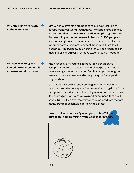URL: the infinite horizons  $\rightarrow$ **of the metaverse.**

Virtual and augmented are becoming our new realities to escape from real-world restrictions. New lands have opened, where everything is possible. **An Indian couple organized the first wedding in the metaverse, in front of 2,500 people** – and not a single one will wear a mask. These are new Eldorados for brand territories, from Facebook becoming Meta to all industries. And purpose, as a north star, will help them design meaningful and ethical alternative experiences of freedom.

**IRL: Rediscovering our immediate environment is more essential than ever. >**

And brands are milestones in these local geographies. Escaping to nature is becoming a retail purpose with indoor nature and gardening concepts. And human proximity gives service purpose a new role: the 'neighborgood', the good neighborhood.

On a global level, we all understand globalization has to be balanced, and the concept of food sovereignty is gaining force. Companies have discovered that deglobalization can also have its advantages. For example, Walmart announced that it will spend \$350 billion over the next decade on products that are made, grown or assembled in the United States.

**How to balance our new 'glocal' geographies? Some purposeful and promising white spaces for brands.**

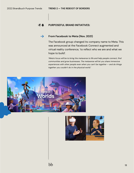#### 吟集 **PURPOSEFUL BRAND INITIATIVES:**

#### **From Facebook to Meta (Nov. 2021) >**

The Facebook group changed its company name to Meta. This was announced at the Facebook Connect augmented and virtual reality conference, 'to reflect who we are and what we hope to build'.

*'Meta's focus will be to bring the metaverse to life and help people connect, find communities and grow businesses. The metaverse will let you share immersive experiences with other people even when you can't be together — and do things together you couldn't do in the physical world.'*



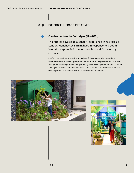#### $3 - 1$ **PURPOSEFUL BRAND INITIATIVES:**

#### **Garden centres by Selfridges (UK-2021) >**

The retailer developed a sensory experience in its stores in London, Manchester, Birmingham, in response to a boom in outdoor appreciation when people couldn't travel or go outdoors.

It offers the services of a resident gardener (plus a virtual 'dial-a-gardener' service) and some workshop experiences to explore the pleasure and positivity that gardening brings. It now sells gardening tools, seeds, plants and pots, and the Selfridges own label compost. But it also sells a curation of fashion, lifestyle and beauty products, as well as an exclusive collection from Prada.



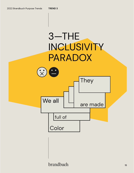

brandbuch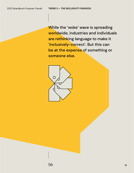While the 'woke' wave is spreading worldwide, industries and individuals are rethinking language to make it 'inclusively-correct'. But this can be at the expense of something or someone else.

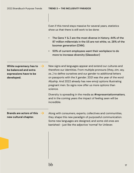Even if this trend stays massive for several years, statistics show us that there is still work to be done:

- The Gens Y & Z are the most diverse in history. 44% of the 87 million millennials in the US are not white, vs. 28% of the boomer generation (CNN).
- 50% of current employees want their workplace to do more to increase diversity (Glassdoor)

**White supremacy has to be balanced and extra expressions have to be developed.**

**>**

**>**

New signs and languages appear and extend our cultures and therefore our identities. From multiple pronouns (they, zim, xey, ze…) to define ourselves and our gender to additional letters on passports with the X gender. 2021 was the year of the word Allyship. And 2022 already has new emoji options illustrating pregnant men. So signs now offer us more options than science.

Diversity is spreading in the media as #representationmatters, and in the coming years the impact of feeling seen will be incredible.

# **Brands are actors of this new cultural chapter.**

Along with consumers, experts, collectives and communities, they shape this new paradigm of purposeful communication. Some new languages are designed, and some old ones are banished - just like the adjective 'normal' for Unilever.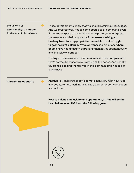# **Inclusivity vs. spontaneity: a paradox in the era of clumsiness**

**>** These developments imply that we should rethink our languages. And we progressively notice some obstacles are emerging, even if the true purpose of inclusivity is to help everyone to express themselves and their singularity. **From woke washing and bashing to cultural appropriation scandals, we all struggle to get the right balance.** We've all witnessed situations where people have had difficulty expressing themselves spontaneously and 'inclusively-correctly'.

Finding a consensus seems to be more and more complex. And that's normal, because we're rewriting all the codes. And just like us, brands also find themselves in this communication space of clumsiness.

### The remote etiquette  $\rightarrow$

Another key challenge today is remote inclusion. With new rules and codes, remote working is an extra barrier for communication and inclusion.

**How to balance inclusivity and spontaneity? That will be the key challenge for 2022 and the following years.**

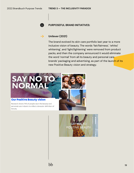

#### **PURPOSEFUL BRAND INITIATIVES:**

#### **Unilever (2021) >**

The brand evolved its skin care portfolio last year to a more inclusive vision of beauty. The words 'fair/fairness', 'white/ whitening', and 'light/lightening' were removed from product packs, and then the company announced it would eliminate the word 'normal' from all its beauty and personal care brands' packaging and advertising, as part of the launch of its new Positive Beauty vision and strategy.



#### **Our Positive Beauty vision**

Research shows 74% of people want the beauty and personal care industry to reflect a broader definition of beauty.

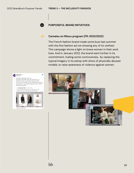Golden Seum

m

11:46 AM - 26 janv. 2022

#### **PURPOSEFUL BRAND INITIATIVES:**



G

## **Camaïeu en Mieux program (FR-2021/2022)**

The French fashion brand made some buzz last summer with the first fashion ad not showing any of its clothes! This campaign shone a light on brave women in their work lives. And in January 2022, the brand went further in its commitment, fueling some controversies, by replacing the typical imagery in its eshop with shots of physically abused models, to raise awareness of violence against women.

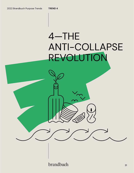# 4—THE ANTI-COLLAPSE REVOLUTION

brandbuch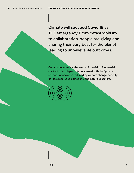Climate will succeed Covid 19 as THE emergency. From catastrophism to collaboration, people are giving and sharing their very best for the planet, leading to unbelievable outcomes.

**Collapsology** means the study of the risks of industrial civilization's collapse. It is concerned with the 'general collapse of societies induced by climate change, scarcity of resources, vast extinctions, and natural disasters.'

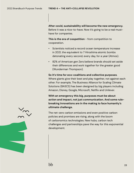**After covid, sustainability will become the new emergency.** Before it was a nice-to-have. Now it's going to be a real musthave for companies.

**This is the era of coopetition** - from competition to cooperation.

- Scientists noticed a record ocean temperature increase in 2021, the equivalent to 7 Hiroshima atomic bombs detonating every second, every day, for a year (Atmos).
- 82% of American gen Zers believe brands should set aside their differences and work together for the greater good (Wunderman Thompson).

**So it's time for eco-coalitions and collective purposes**. Where giants give their best and play together, not against each other. For example, The Business Alliance for Scaling Climate Solutions (BASCS) has been designed by big players including Amazon, Disney, Google, Microsoft, Netflix and Unilever.

**With an emergency this big, purposes must be about action and impact, not just communication. And some rulebreaking innovations are in the making to face humanity's ultimate challenge.**

The net-zero carbon emissions and even positive carbon policies and promises are rising, along with the boom of carbonomics technologies. New hubs, carbon tech challenges and partnerships pave the way for this exponential development.

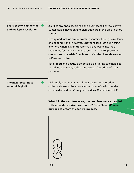# Every sector is under the  $\rightarrow$ **anti-collapse revolution**

Just like any species, brands and businesses fight to survive. Sustainable innovation and disruption are in the pipe in every sector.

Luxury and fashion are reinventing scarcity through circularity and second-hand initiatives. Upcycling isn't just a DIY thing anymore, when Bvlgari transforms glass waste into jadelike stones for its new Shanghai store. And LVMH provides overstocked materials from brands with the Nona showroom in Paris and online.

Retail, food and beauty also develop disrupting technologies to reduce the water, carbon and plastic footprints of their products.

# **The next footprint to reduce? Digital!**

**>**

'Ultimately the energy used in our digital consumption collectively emits the equivalent amount of carbon as the entire airline industry.' Vaughan Lindsay, ClimateCare CEO.

**What if in the next few years, the promises were extended with some data-driven warranties? From Planet+People purpose to proofs of positive impacts.**

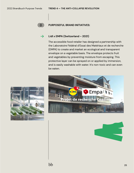

#### **PURPOSEFUL BRAND INITIATIVES:**



The accessible food retailer has designed a partnership with the Laboratoire Fédéral d'Essai des Matériaux et de recherche (EMPA) to create and market an ecological and transparent envelope on a vegetable basis. The envelope protects fruit and vegetables by preventing moisture from escaping. This protective layer can be sprayed on or applied by immersion, and is easily washable with water. It's non-toxic and can even be eaten.





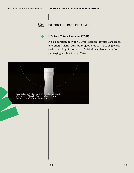

#### **PURPOSEFUL BRAND INITIATIVES:**

#### **L'Oréal x Total x Lanzatec (2021) >**

A collaboration between L'Oréal, carbon recycler LanzaTech and energy giant Total, the project aims to 'make single-use carbon a thing of the past'. L'Oréal aims to launch the first packaging application by 2024.